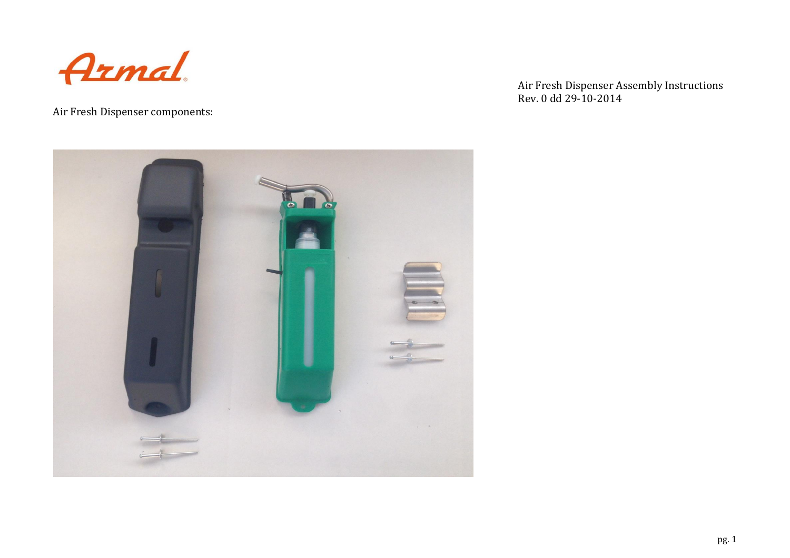

Air Fresh Dispenser components:

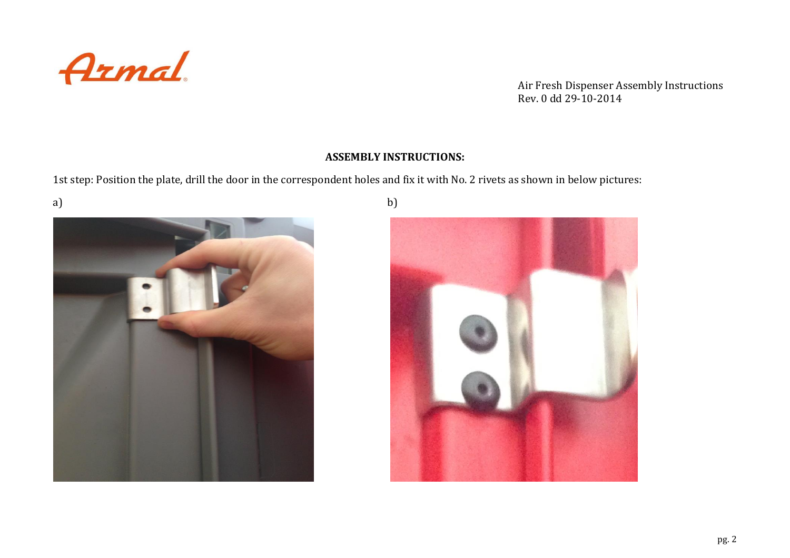

## **ASSEMBLY INSTRUCTIONS:**

1st step: Position the plate, drill the door in the correspondent holes and fix it with No. 2 rivets as shown in below pictures:



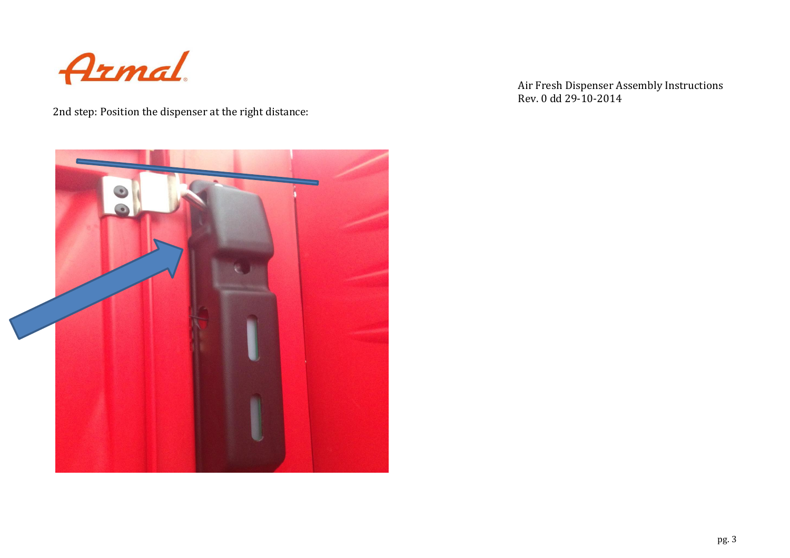

2nd step: Position the dispenser at the right distance:

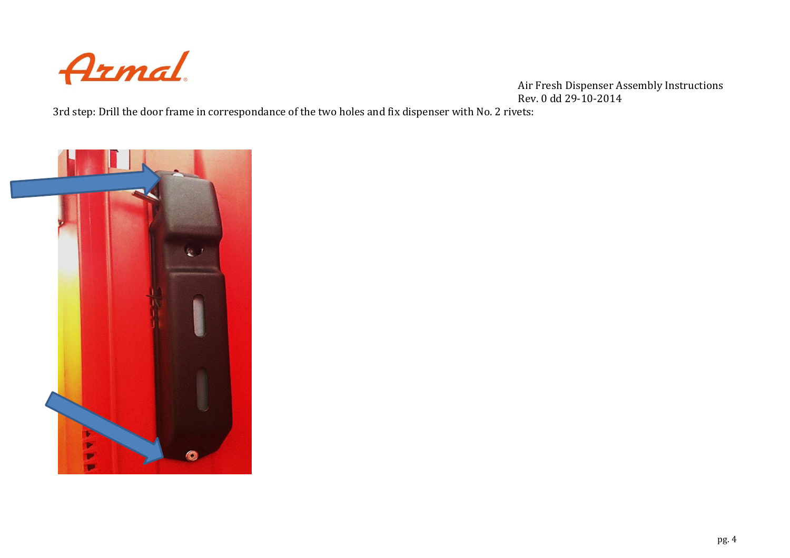

3rd step: Drill the door frame in correspondance of the two holes and fix dispenser with No. 2 rivets:

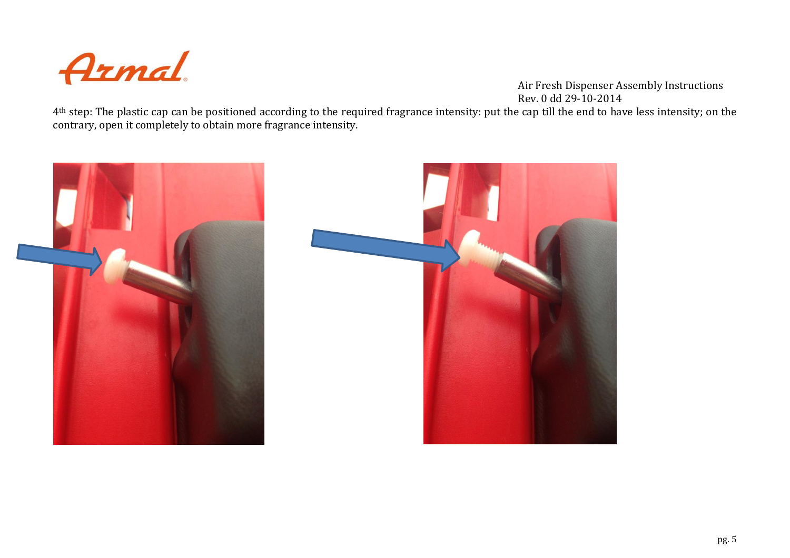

4<sup>th</sup> step: The plastic cap can be positioned according to the required fragrance intensity: put the cap till the end to have less intensity; on the contrary, open it completely to obtain more fragrance intensity.



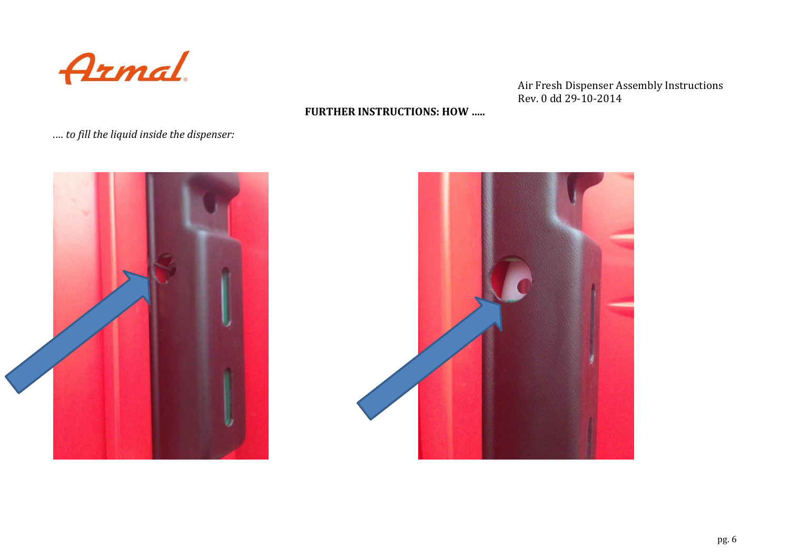

## **FURTHER INSTRUCTIONS: HOW …..**

*.… to fill the liquid inside the dispenser:*



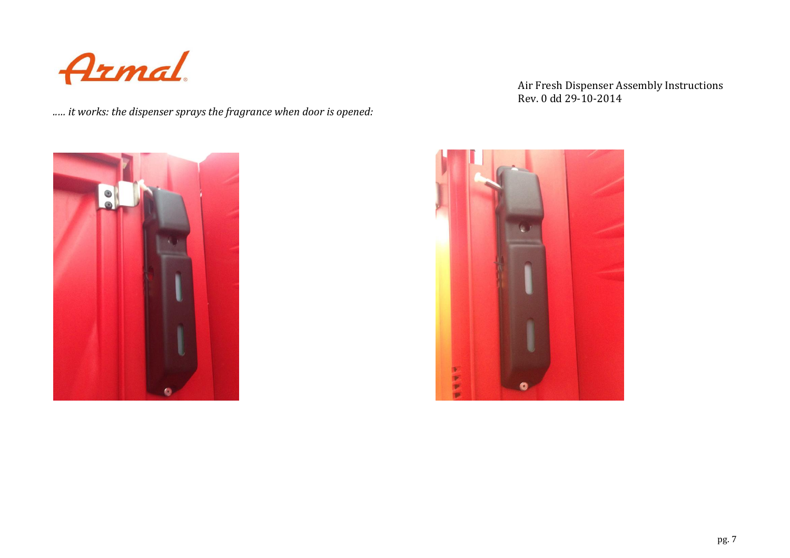

*..… it works: the dispenser sprays the fragrance when door is opened:*



## Air Fresh Dispenser Assembly Instructions Rev. 0 dd 29-10-2014